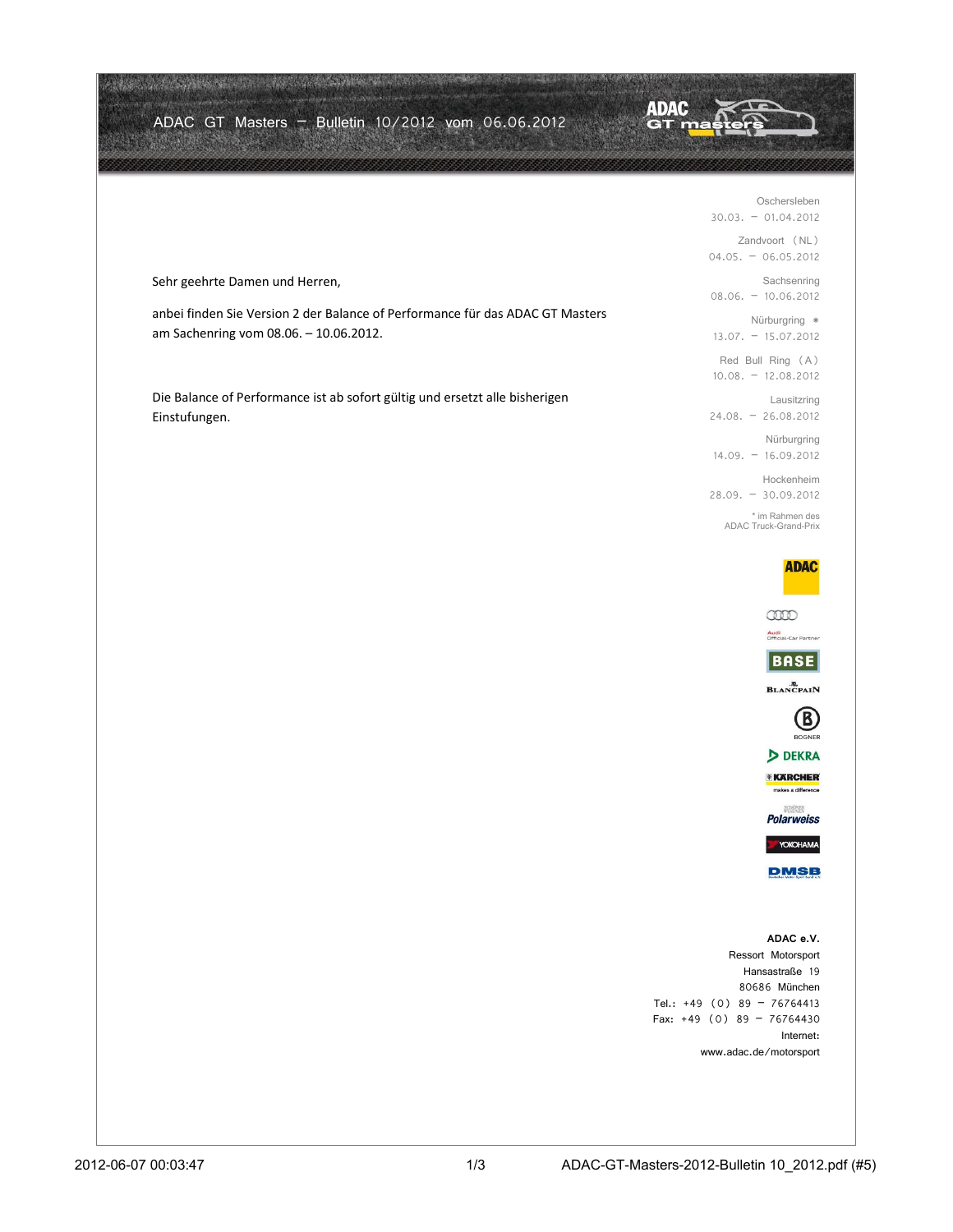|                                                                                                                         | <b>ADAC</b>                                                                |
|-------------------------------------------------------------------------------------------------------------------------|----------------------------------------------------------------------------|
| ADAC GT Masters - Bulletin 10/2012 vom 06.06.2012                                                                       |                                                                            |
|                                                                                                                         |                                                                            |
|                                                                                                                         | Oschersleben<br>$30.03. - 01.04.2012$                                      |
|                                                                                                                         | Zandvoort (NL)<br>$04.05. - 06.05.2012$                                    |
| Sehr geehrte Damen und Herren,                                                                                          | Sachsenring<br>$08.06. - 10.06.2012$                                       |
| anbei finden Sie Version 2 der Balance of Performance für das ADAC GT Masters<br>am Sachenring vom 08.06. - 10.06.2012. | Nürburgring *<br>$13.07. - 15.07.2012$                                     |
|                                                                                                                         | Red Bull Ring (A)<br>$10.08. - 12.08.2012$                                 |
| Die Balance of Performance ist ab sofort gültig und ersetzt alle bisherigen                                             | Lausitzring<br>$24.08. - 26.08.2012$                                       |
| Einstufungen.                                                                                                           | Nürburgring                                                                |
|                                                                                                                         | $14.09. - 16.09.2012$<br>Hockenheim                                        |
|                                                                                                                         | $28.09. - 30.09.2012$<br>* im Rahmen des                                   |
|                                                                                                                         | <b>ADAC Truck-Grand-Prix</b>                                               |
|                                                                                                                         | <b>ADAC</b>                                                                |
|                                                                                                                         | ano<br>Audi<br>Official-Car Partner                                        |
|                                                                                                                         | <b>BASE</b>                                                                |
|                                                                                                                         | <b>BLANCPAIN</b>                                                           |
|                                                                                                                         | B<br><b>BOGNER</b>                                                         |
|                                                                                                                         | DEKRA<br><b>EXARCHER</b>                                                   |
|                                                                                                                         | makes a difference<br>SHOWEN<br><b>Polarweiss</b>                          |
|                                                                                                                         | YOKOHAMA                                                                   |
|                                                                                                                         | <b>DMSB</b>                                                                |
|                                                                                                                         |                                                                            |
|                                                                                                                         | ADAC e.V.<br>Ressort Motorsport<br>Hansastraße 19<br>80686 München         |
|                                                                                                                         | Tel.: $+49$ (0) 89 - 76764413<br>Fax: $+49$ (0) 89 - 76764430<br>Internet: |
|                                                                                                                         | www.adac.de/motorsport                                                     |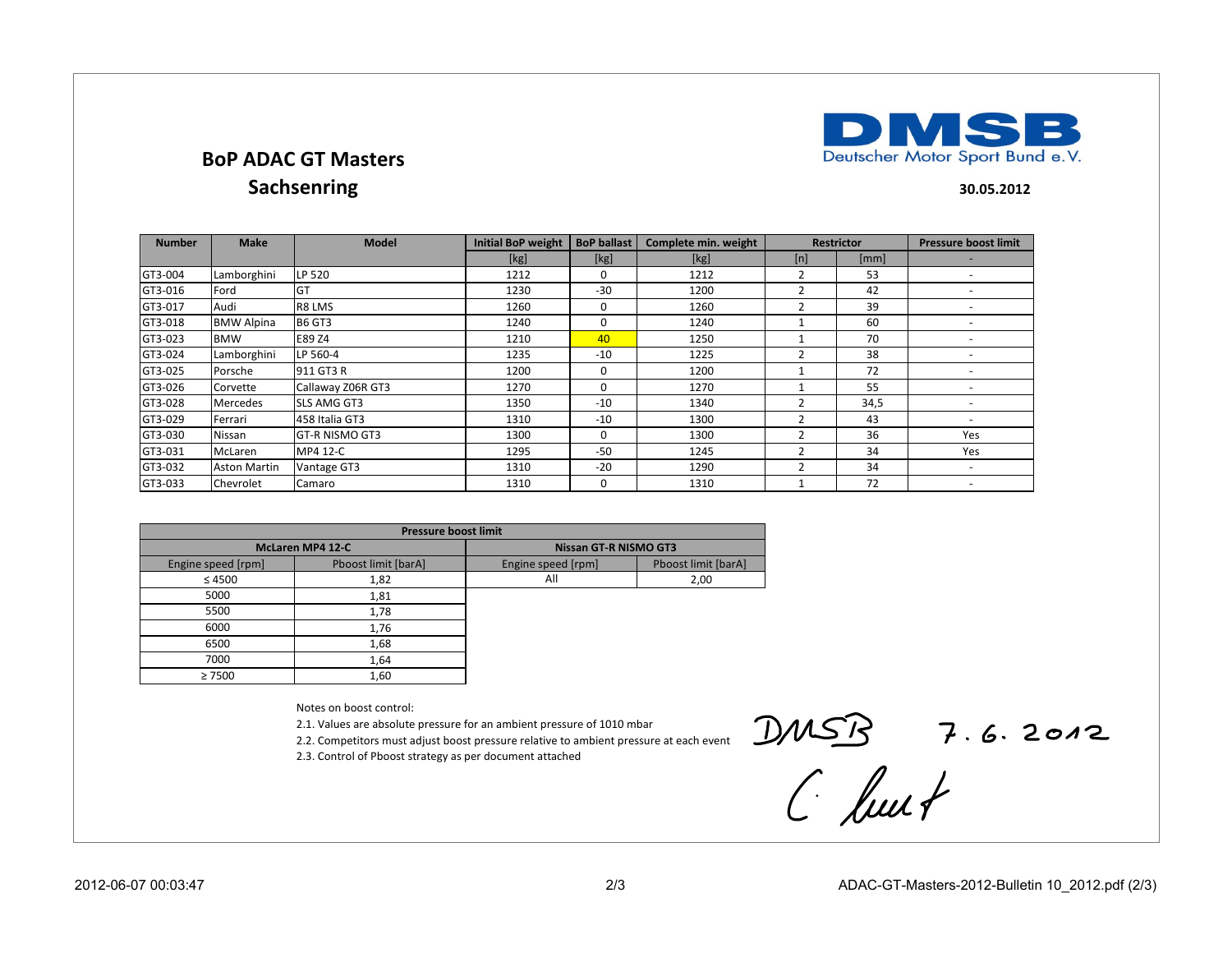## **BoP ADAC GT MastersSachsenring**

**30.05.2012**

**MSB** 

Deutscher Motor Sport Bund e.V.

DI

| <b>Number</b> | <b>Make</b>         | <b>Model</b>          | <b>Initial BoP weight</b> | <b>BoP ballast</b> | Complete min. weight |                | <b>Restrictor</b> | <b>Pressure boost limit</b> |
|---------------|---------------------|-----------------------|---------------------------|--------------------|----------------------|----------------|-------------------|-----------------------------|
|               |                     |                       | [kg]                      | [kg]               | [kg]                 | [n]            | [mm]              |                             |
| GT3-004       | Lamborghini         | LP 520                | 1212                      | $\mathbf{0}$       | 1212                 | $\overline{2}$ | 53                | $\overline{\phantom{a}}$    |
| GT3-016       | Ford                | GT                    | 1230                      | $-30$              | 1200                 | 2              | 42                | $\overline{\phantom{a}}$    |
| GT3-017       | Audi                | R8 LMS                | 1260                      | $\mathbf 0$        | 1260                 |                | 39                |                             |
| GT3-018       | <b>BMW Alpina</b>   | <b>B6 GT3</b>         | 1240                      | $\Omega$           | 1240                 |                | 60                | $\overline{\phantom{a}}$    |
| GT3-023       | <b>BMW</b>          | E89 Z4                | 1210                      | 40                 | 1250                 |                | 70                |                             |
| GT3-024       | Lamborghini         | LP 560-4              | 1235                      | $-10$              | 1225                 |                | 38                |                             |
| GT3-025       | Porsche             | 911 GT3 R             | 1200                      | $\Omega$           | 1200                 |                | 72                |                             |
| GT3-026       | Corvette            | Callaway Z06R GT3     | 1270                      | $\Omega$           | 1270                 |                | 55                | $\overline{\phantom{a}}$    |
| GT3-028       | <b>Mercedes</b>     | <b>SLS AMG GT3</b>    | 1350                      | $-10$              | 1340                 | $\overline{2}$ | 34,5              |                             |
| GT3-029       | Ferrari             | 458 Italia GT3        | 1310                      | $-10$              | 1300                 |                | 43                | $\overline{\phantom{a}}$    |
| GT3-030       | Nissan              | <b>GT-R NISMO GT3</b> | 1300                      | $\Omega$           | 1300                 | 2              | 36                | Yes                         |
| GT3-031       | McLaren             | MP4 12-C              | 1295                      | $-50$              | 1245                 |                | 34                | Yes                         |
| GT3-032       | <b>Aston Martin</b> | Vantage GT3           | 1310                      | $-20$              | 1290                 | 2              | 34                | $\overline{\phantom{a}}$    |
| GT3-033       | Chevrolet           | Camaro                | 1310                      | $\mathbf 0$        | 1310                 |                | 72                | $\overline{\phantom{a}}$    |

| <b>Pressure boost limit</b> |                     |                              |                     |  |  |  |  |
|-----------------------------|---------------------|------------------------------|---------------------|--|--|--|--|
| <b>McLaren MP4 12-C</b>     |                     | <b>Nissan GT-R NISMO GT3</b> |                     |  |  |  |  |
| Engine speed [rpm]          | Pboost limit [barA] | Engine speed [rpm]           | Pboost limit [barA] |  |  |  |  |
| $\leq 4500$                 | 1,82                | All                          | 2,00                |  |  |  |  |
| 5000                        | 1,81                |                              |                     |  |  |  |  |
| 5500                        | 1,78                |                              |                     |  |  |  |  |
| 6000                        | 1,76                |                              |                     |  |  |  |  |
| 6500                        | 1,68                |                              |                     |  |  |  |  |
| 7000                        | 1,64                |                              |                     |  |  |  |  |
| $\geq 7500$                 | 1,60                |                              |                     |  |  |  |  |

Notes on boost control:

2.1. Values are absolute pressure for an ambient pressure of 1010 mbar

2.2. Competitors must adjust boost pressure relative to ambient pressure at each event

2.3. Control of Pboost strategy as per document attached

 $DMSB$  7.6.2012